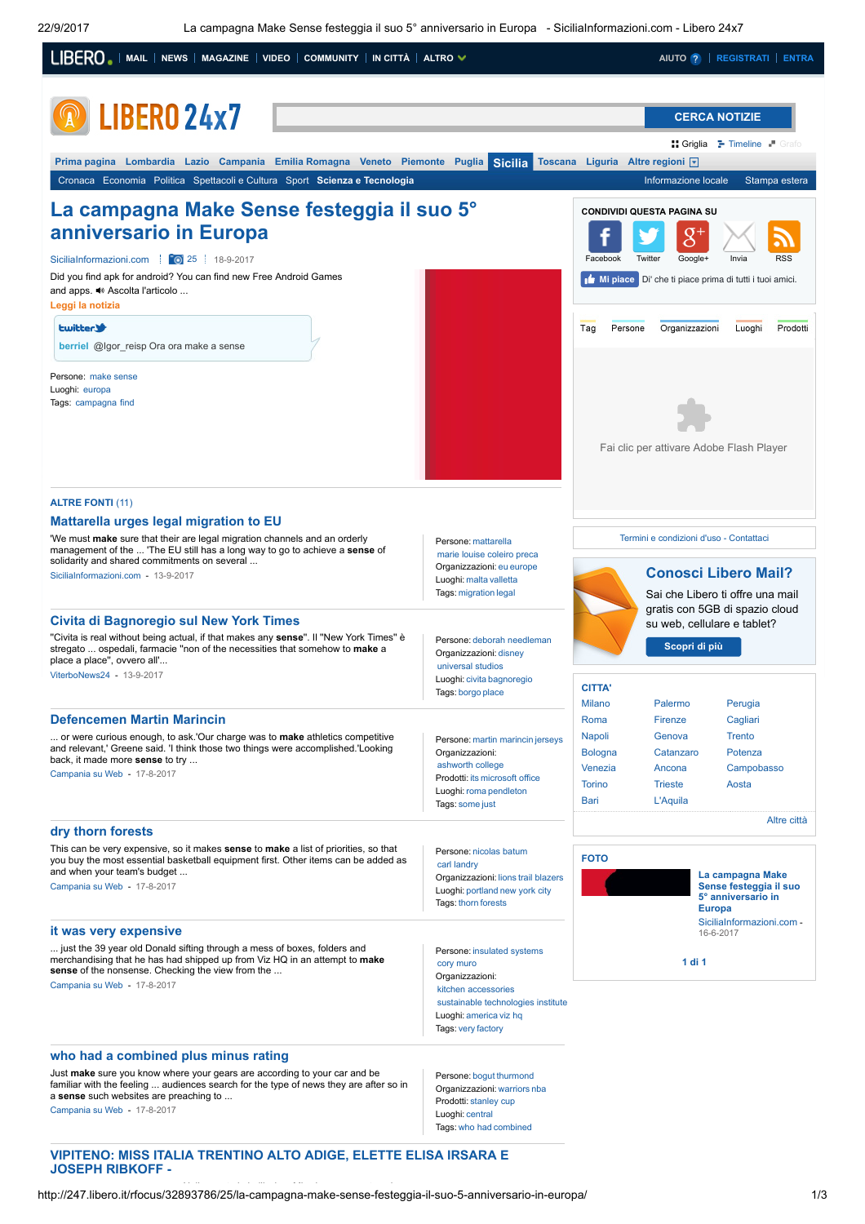

# JOSEPH RIBKOFF -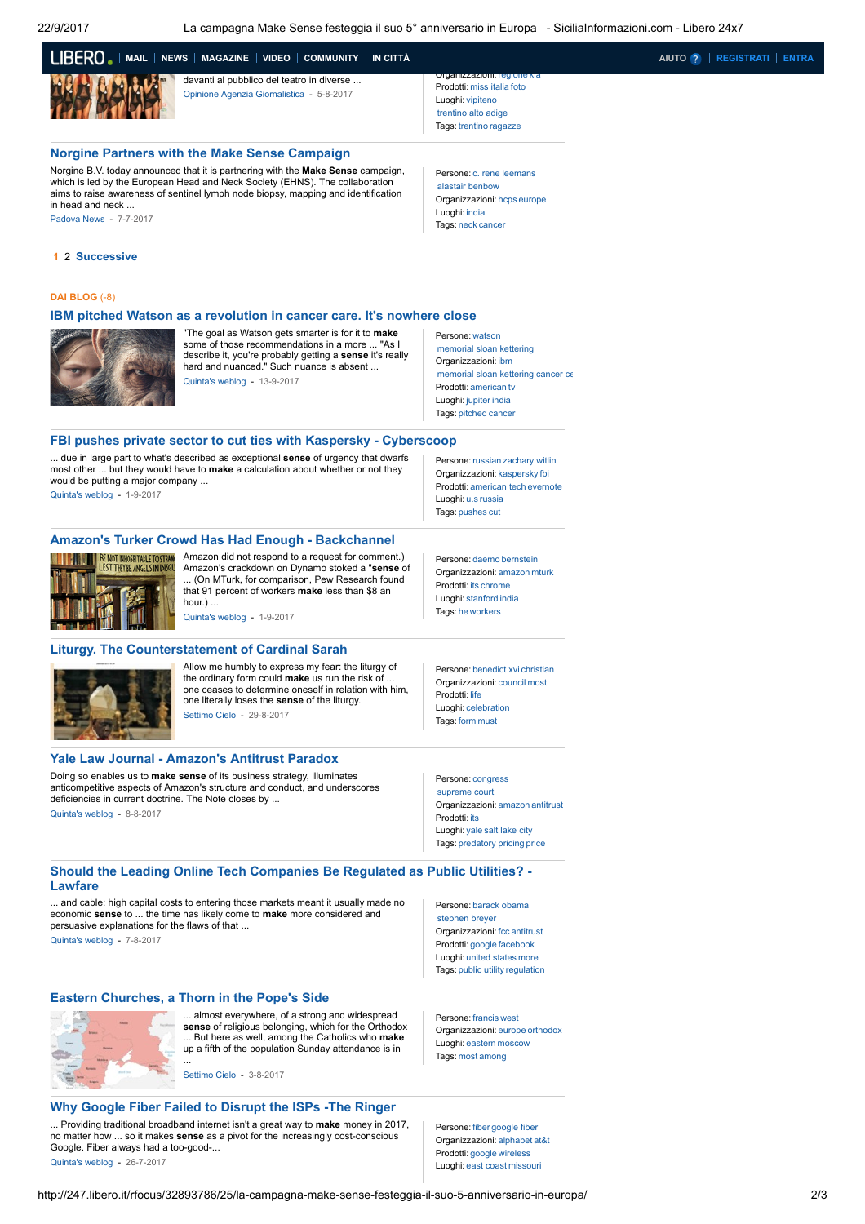22/9/2017 La campagna Make Sense festeggia il suo 5° anniversario in Europa - SiciliaInformazioni.com - Libero 24x7

| LIBERO -   MAIL   NEWS   MAGAZINE   VIDEO   COMMUNITY   IN CITTÀ |                                                                                        |  |
|------------------------------------------------------------------|----------------------------------------------------------------------------------------|--|
|                                                                  | davanti al pubblico del teatro in diverse<br>Opinione Agenzia Giornalistica - 5-8-2017 |  |

## Norgine Partners with the Make Sense [Campaign](http://247.libero.it/rfocus/32243460/25/norgine-partners-with-the-make-sense-campaign/)

Norgine B.V. today announced that it is partnering with the Make Sense campaign, which is led by the European Head and Neck Society (EHNS). The collaboration aims to raise awareness of sentinel lymph node biopsy, mapping and identification in head and neck. [Padova](http://www.padovanews.it/) News - 7-7-2017

Organizzazioni: [regione](http://247.libero.it/dsearch/regione/) [kia](http://247.libero.it/dsearch/kia/) Prodotti: miss [italia](http://247.libero.it/dsearch/miss+italia/) [foto](http://247.libero.it/dsearch/foto/) Luoghi: [vipiteno](http://247.libero.it/dsearch/vipiteno/) [trentino](http://247.libero.it/dsearch/trentino+alto+adige/) alto adige Tags: [trentino](http://247.libero.it/dsearch/trentino/) [ragazze](http://247.libero.it/dsearch/ragazze/)

MANAGAZINE[VIDEO](http://mediaset.vitv.it/?ref=libero) [COMMUNITY](http://digiland.libero.it/) IN CITTÀ [AIUTO](http://aiuto.libero.it/) <mark>?</mark> | [REGISTRATI](http://registrazione.libero.it/) | [ENTRA](https://login.libero.it/?service_id=beta_email&ret_url=http%3A//247.libero.it/rfocus/32893786/25/la-campagna-make-sense-festeggia-il-suo-5-anniversario-in-europa/)

Persone: c. rene [leemans](http://247.libero.it/dsearch/c.+rene+leemans/) alastair [benbow](http://247.libero.it/dsearch/alastair+benbow/) Organizzazioni: [hcps](http://247.libero.it/dsearch/hcps/) [europe](http://247.libero.it/dsearch/europe/) Luoghi: [india](http://247.libero.it/dsearch/india/) Tags: [neck](http://247.libero.it/dsearch/neck/) [cancer](http://247.libero.it/dsearch/cancer/)

# 1 2 Successive

#### DAI [BLOG](http://247.libero.it/bsearch/make+sense/) (-8)

### IBM pitched Watson as a [revolution](http://247.libero.it/bfocus/530025/0/ibm-pitched-watson-as-a-revolution-in-cancer-care-it-s-nowhere-close/) in cancer care. It's nowhere close



"The goal as Watson gets smarter is for it to make some of those recommendations in a more ... "As I describe it, you're probably getting a sense it's really hard and nuanced." Such nuance is absent ... [Quinta's](http://blog.quintarelli.it/) weblog - 13-9-2017

Persone: [watson](http://247.libero.it/dsearch/watson/) [memorial](http://247.libero.it/dsearch/memorial+sloan+kettering/) sloan kettering Organizzazioni: [ibm](http://247.libero.it/dsearch/ibm/) [memorial](http://247.libero.it/dsearch/memorial+sloan+kettering+cancer+center/) sloan kettering cancer ce Prodotti: [american](http://247.libero.it/dsearch/american/) [tv](http://247.libero.it/dsearch/tv/) Luoghi: [jupiter](http://247.libero.it/dsearch/jupiter/) [india](http://247.libero.it/dsearch/india/) Tags: [pitched](http://247.libero.it/dsearch/pitched/) [cancer](http://247.libero.it/dsearch/cancer/)

Persone: [russian](http://247.libero.it/dsearch/russian/) [zachary](http://247.libero.it/dsearch/zachary+witlin/) witlin Organizzazioni: [kaspersky](http://247.libero.it/dsearch/kaspersky/) [fbi](http://247.libero.it/dsearch/fbi/) Prodotti: [american](http://247.libero.it/dsearch/american+tech/) tech [evernote](http://247.libero.it/dsearch/evernote/)

Persone: [daemo](http://247.libero.it/dsearch/daemo/) [bernstein](http://247.libero.it/dsearch/bernstein/) Organizzazioni: [amazon](http://247.libero.it/dsearch/amazon/) [mturk](http://247.libero.it/dsearch/mturk/) Prodotti: [its](http://247.libero.it/dsearch/its/) [chrome](http://247.libero.it/dsearch/chrome/) Luoghi: [stanford](http://247.libero.it/dsearch/stanford/) [india](http://247.libero.it/dsearch/india/) Tags: [he](http://247.libero.it/dsearch/he/) [workers](http://247.libero.it/dsearch/workers/)

Persone: [benedict](http://247.libero.it/dsearch/benedict+xvi/) xvi [christian](http://247.libero.it/dsearch/christian/) Organizzazioni: [council](http://247.libero.it/dsearch/council/) [most](http://247.libero.it/dsearch/most/)

Prodotti: [life](http://247.libero.it/dsearch/life/) Luoghi: [celebration](http://247.libero.it/dsearch/celebration/) Tags: [form](http://247.libero.it/dsearch/form/) [must](http://247.libero.it/dsearch/must/)

Luoghi: [u.s](http://247.libero.it/dsearch/u.s/) [russia](http://247.libero.it/dsearch/russia/) Tags: [pushes](http://247.libero.it/dsearch/pushes/) [cut](http://247.libero.it/dsearch/cut/)

## FBI pushes private sector to cut ties with Kaspersky - [Cyberscoop](http://247.libero.it/bfocus/528944/0/fbi-pushes-private-sector-to-cut-ties-with-kaspersky-cyberscoop/)

... due in large part to what's described as exceptional **sense** of urgency that dwarfs most other ... but they would have to make a calculation about whether or not they would be putting a major company ... [Quinta's](http://blog.quintarelli.it/) weblog - 1-9-2017

# Amazon's Turker Crowd Has Had Enough - [Backchannel](http://247.libero.it/bfocus/528950/0/amazon-s-turker-crowd-has-had-enough-backchannel/)



Amazon did not respond to a request for comment. Amazon's crackdown on Dynamo stoked a "sense of ... (On MTurk, for comparison, Pew Research found that 91 percent of workers make less than \$8 an hour.) ...

[Quinta's](http://blog.quintarelli.it/) weblog - 1-9-2017

# Liturgy. The [Counterstatement](http://247.libero.it/bfocus/528466/0/liturgy-the-counterstatement-of-cardinal-sarah/) of Cardinal Sarah



Allow me humbly to express my fear: the liturgy of the ordinary form could make us run the risk of one ceases to determine oneself in relation with him, one literally loses the sense of the liturgy. [Settimo](http://magister.blogautore.espresso.repubblica.it/) Cielo - 29-8-2017

# Yale Law Journal - [Amazon's](http://247.libero.it/bfocus/527082/0/yale-law-journal-amazon-s-antitrust-paradox/) Antitrust Paradox

Doing so enables us to make sense of its business strategy, illuminates anticompetitive aspects of Amazon's structure and conduct, and underscores deficiencies in current doctrine. The Note closes by ...

[Quinta's](http://blog.quintarelli.it/) weblog - 8-8-2017

Persone: [congress](http://247.libero.it/dsearch/congress/) [supreme](http://247.libero.it/dsearch/supreme+court/) court Organizzazioni: [amazon](http://247.libero.it/dsearch/amazon/) [antitrust](http://247.libero.it/dsearch/antitrust/) Prodotti: [its](http://247.libero.it/dsearch/its/) Luoghi: [yale](http://247.libero.it/dsearch/yale/) salt [lake](http://247.libero.it/dsearch/salt+lake+city/) city Tags: [predatory](http://247.libero.it/dsearch/predatory+pricing/) pricing [price](http://247.libero.it/dsearch/price/)

[stephen](http://247.libero.it/dsearch/stephen+breyer/) breyer Organizzazioni: [fcc](http://247.libero.it/dsearch/fcc/) [antitrust](http://247.libero.it/dsearch/antitrust/) Prodotti: [google](http://247.libero.it/dsearch/google/) [facebook](http://247.libero.it/dsearch/facebook/) Luoghi: [united](http://247.libero.it/dsearch/united+states/) states [more](http://247.libero.it/dsearch/more/) Tags: [public](http://247.libero.it/dsearch/public+utility/) utility [regulation](http://247.libero.it/dsearch/regulation/)

# Persone: barack [obama](http://247.libero.it/dsearch/barack+obama/) Should the Leading Online Tech [Companies](http://247.libero.it/bfocus/526893/0/should-the-leading-online-tech-companies-be-regulated-as-public-utilities-lawfare/) Be Regulated as Public Utilities? - Lawfare

... and cable: high capital costs to entering those markets meant it usually made no<br>economic sense to ... the time has likely come to **make** more considered and persuasive explanations for the flaws of that ... [Quinta's](http://blog.quintarelli.it/) weblog - 7-8-2017

Eastern [Churches,](http://247.libero.it/bfocus/526476/0/eastern-churches-a-thorn-in-the-pope-s-side/) a Thorn in the Pope's Side



almost everywhere, of a strong and widespread sense of religious belonging, which for the Orthodox ... But here as well, among the Catholics who make up a fifth of the population Sunday attendance is in ...

Why Google Fiber Failed to [Disrupt](http://247.libero.it/bfocus/525794/0/why-google-fiber-failed-to-disrupt-the-isps-the-ringer/) the ISPs -The Ringer ... Providing traditional broadband internet isn't a great way to make money in 2017, no matter how ... so it makes sense as a pivot for the increasingly cost-conscious Google. Fiber always had a too-good-... [Quinta's](http://blog.quintarelli.it/) weblog - 26-7-2017

[Settimo](http://magister.blogautore.espresso.repubblica.it/) Cielo - 3-8-2017

Persone: [francis](http://247.libero.it/dsearch/francis/) [west](http://247.libero.it/dsearch/west/) Organizzazioni: [europe](http://247.libero.it/dsearch/europe/) [orthodox](http://247.libero.it/dsearch/orthodox/) Luoghi: [eastern](http://247.libero.it/dsearch/eastern/) [moscow](http://247.libero.it/dsearch/moscow/) Tags: [most](http://247.libero.it/dsearch/most/) [among](http://247.libero.it/dsearch/among/)

Persone: [fiber](http://247.libero.it/dsearch/fiber/) [google](http://247.libero.it/dsearch/google+fiber/) fiber Organizzazioni: [alphabet](http://247.libero.it/dsearch/alphabet/) [at&t](http://247.libero.it/dsearch/at%26t/) Prodotti: [google](http://247.libero.it/dsearch/google/) [wireless](http://247.libero.it/dsearch/wireless/) Luoghi: east [coast](http://247.libero.it/dsearch/east+coast/) [missouri](http://247.libero.it/dsearch/missouri/)